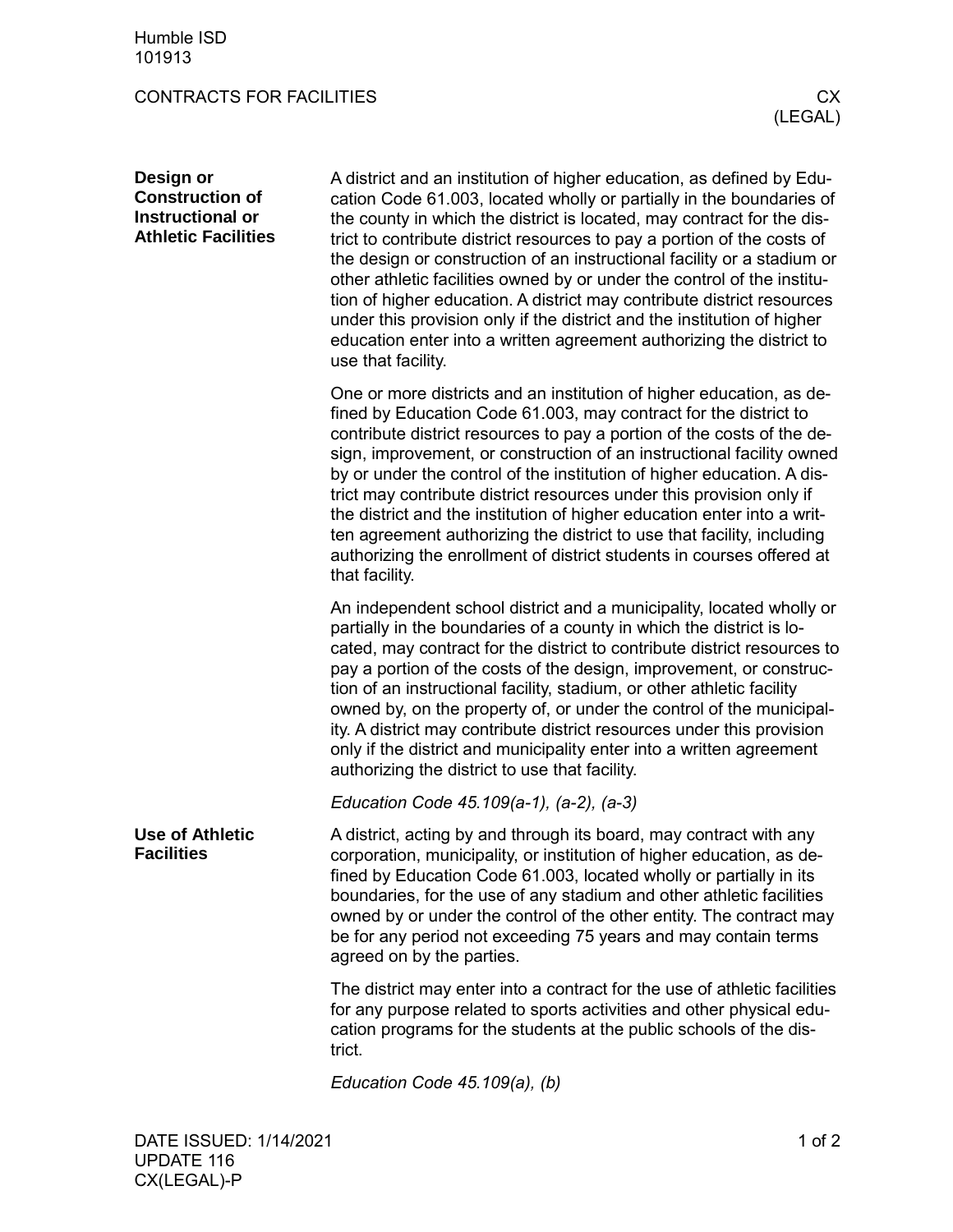## CONTRACTS FOR FACILITIES CX

| Design or<br><b>Construction of</b><br>Instructional or<br><b>Athletic Facilities</b> | A district and an institution of higher education, as defined by Edu-<br>cation Code 61.003, located wholly or partially in the boundaries of<br>the county in which the district is located, may contract for the dis-<br>trict to contribute district resources to pay a portion of the costs of<br>the design or construction of an instructional facility or a stadium or<br>other athletic facilities owned by or under the control of the institu-<br>tion of higher education. A district may contribute district resources<br>under this provision only if the district and the institution of higher<br>education enter into a written agreement authorizing the district to<br>use that facility. |
|---------------------------------------------------------------------------------------|-------------------------------------------------------------------------------------------------------------------------------------------------------------------------------------------------------------------------------------------------------------------------------------------------------------------------------------------------------------------------------------------------------------------------------------------------------------------------------------------------------------------------------------------------------------------------------------------------------------------------------------------------------------------------------------------------------------|
|                                                                                       | One or more districts and an institution of higher education, as de-<br>fined by Education Code 61.003, may contract for the district to<br>contribute district resources to pay a portion of the costs of the de-<br>sign, improvement, or construction of an instructional facility owned<br>by or under the control of the institution of higher education. A dis-<br>trict may contribute district resources under this provision only if<br>the district and the institution of higher education enter into a writ-<br>ten agreement authorizing the district to use that facility, including<br>authorizing the enrollment of district students in courses offered at<br>that facility.               |
|                                                                                       | An independent school district and a municipality, located wholly or<br>partially in the boundaries of a county in which the district is lo-<br>cated, may contract for the district to contribute district resources to<br>pay a portion of the costs of the design, improvement, or construc-<br>tion of an instructional facility, stadium, or other athletic facility<br>owned by, on the property of, or under the control of the municipal-<br>ity. A district may contribute district resources under this provision<br>only if the district and municipality enter into a written agreement<br>authorizing the district to use that facility.                                                       |
|                                                                                       | Education Code 45.109(a-1), (a-2), (a-3)                                                                                                                                                                                                                                                                                                                                                                                                                                                                                                                                                                                                                                                                    |
| <b>Use of Athletic</b><br><b>Facilities</b>                                           | A district, acting by and through its board, may contract with any<br>corporation, municipality, or institution of higher education, as de-<br>fined by Education Code 61.003, located wholly or partially in its<br>boundaries, for the use of any stadium and other athletic facilities<br>owned by or under the control of the other entity. The contract may<br>be for any period not exceeding 75 years and may contain terms<br>agreed on by the parties.                                                                                                                                                                                                                                             |
|                                                                                       | The district may enter into a contract for the use of athletic facilities<br>for any purpose related to sports activities and other physical edu-<br>cation programs for the students at the public schools of the dis-<br>trict.                                                                                                                                                                                                                                                                                                                                                                                                                                                                           |
|                                                                                       | Education Code 45.109(a), (b)                                                                                                                                                                                                                                                                                                                                                                                                                                                                                                                                                                                                                                                                               |